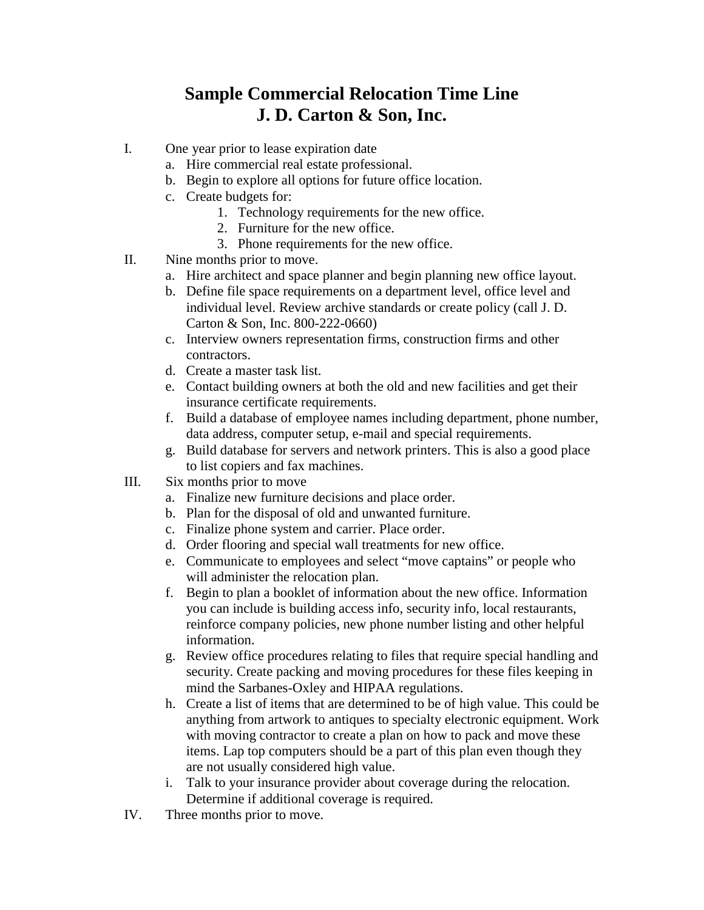## **Sample Commercial Relocation Time Line J. D. Carton & Son, Inc.**

- I. One year prior to lease expiration date
	- a. Hire commercial real estate professional.
	- b. Begin to explore all options for future office location.
	- c. Create budgets for:
		- 1. Technology requirements for the new office.
		- 2. Furniture for the new office.
		- 3. Phone requirements for the new office.
- II. Nine months prior to move.
	- a. Hire architect and space planner and begin planning new office layout.
	- b. Define file space requirements on a department level, office level and individual level. Review archive standards or create policy (call J. D. Carton & Son, Inc. 800-222-0660)
	- c. Interview owners representation firms, construction firms and other contractors.
	- d. Create a master task list.
	- e. Contact building owners at both the old and new facilities and get their insurance certificate requirements.
	- f. Build a database of employee names including department, phone number, data address, computer setup, e-mail and special requirements.
	- g. Build database for servers and network printers. This is also a good place to list copiers and fax machines.
- III. Six months prior to move
	- a. Finalize new furniture decisions and place order.
	- b. Plan for the disposal of old and unwanted furniture.
	- c. Finalize phone system and carrier. Place order.
	- d. Order flooring and special wall treatments for new office.
	- e. Communicate to employees and select "move captains" or people who will administer the relocation plan.
	- f. Begin to plan a booklet of information about the new office. Information you can include is building access info, security info, local restaurants, reinforce company policies, new phone number listing and other helpful information.
	- g. Review office procedures relating to files that require special handling and security. Create packing and moving procedures for these files keeping in mind the Sarbanes-Oxley and HIPAA regulations.
	- h. Create a list of items that are determined to be of high value. This could be anything from artwork to antiques to specialty electronic equipment. Work with moving contractor to create a plan on how to pack and move these items. Lap top computers should be a part of this plan even though they are not usually considered high value.
	- i. Talk to your insurance provider about coverage during the relocation. Determine if additional coverage is required.
- IV. Three months prior to move.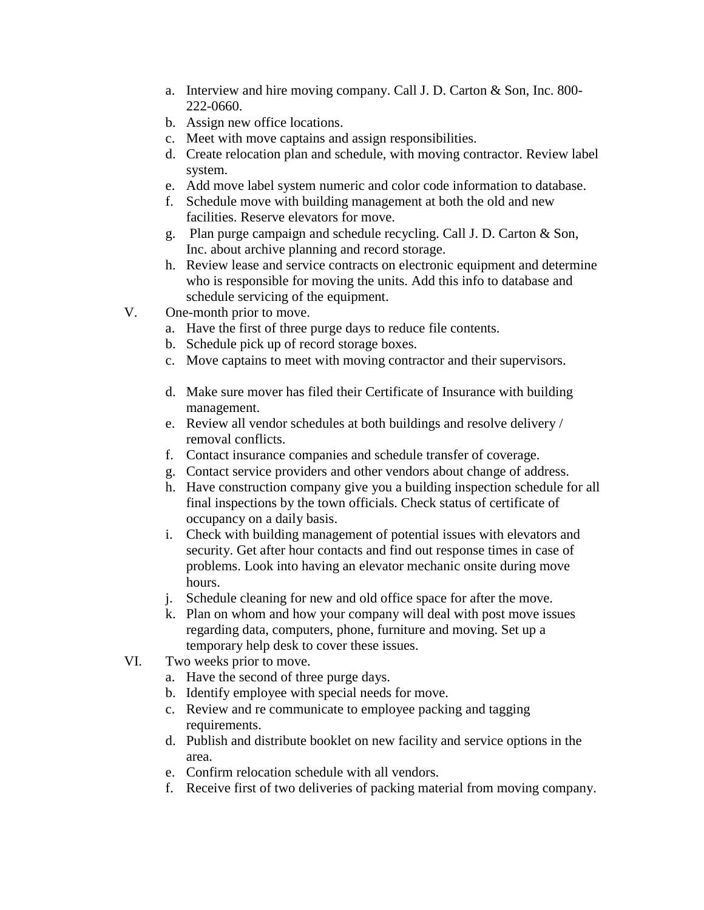- a. Interview and hire moving company. Call J. D. Carton & Son, Inc. 800- 222-0660.
- b. Assign new office locations.
- c. Meet with move captains and assign responsibilities.
- d. Create relocation plan and schedule, with moving contractor. Review label system.
- e. Add move label system numeric and color code information to database.
- f. Schedule move with building management at both the old and new facilities. Reserve elevators for move.
- g. Plan purge campaign and schedule recycling. Call J. D. Carton & Son, Inc. about archive planning and record storage.
- h. Review lease and service contracts on electronic equipment and determine who is responsible for moving the units. Add this info to database and schedule servicing of the equipment.
- V. One-month prior to move.
	- a. Have the first of three purge days to reduce file contents.
	- b. Schedule pick up of record storage boxes.
	- c. Move captains to meet with moving contractor and their supervisors.
	- d. Make sure mover has filed their Certificate of Insurance with building management.
	- e. Review all vendor schedules at both buildings and resolve delivery / removal conflicts.
	- f. Contact insurance companies and schedule transfer of coverage.
	- g. Contact service providers and other vendors about change of address.
	- h. Have construction company give you a building inspection schedule for all final inspections by the town officials. Check status of certificate of occupancy on a daily basis.
	- i. Check with building management of potential issues with elevators and security. Get after hour contacts and find out response times in case of problems. Look into having an elevator mechanic onsite during move hours.
	- j. Schedule cleaning for new and old office space for after the move.
	- k. Plan on whom and how your company will deal with post move issues regarding data, computers, phone, furniture and moving. Set up a temporary help desk to cover these issues.
- VI. Two weeks prior to move.
	- a. Have the second of three purge days.
	- b. Identify employee with special needs for move.
	- c. Review and re communicate to employee packing and tagging requirements.
	- d. Publish and distribute booklet on new facility and service options in the area.
	- e. Confirm relocation schedule with all vendors.
	- f. Receive first of two deliveries of packing material from moving company.